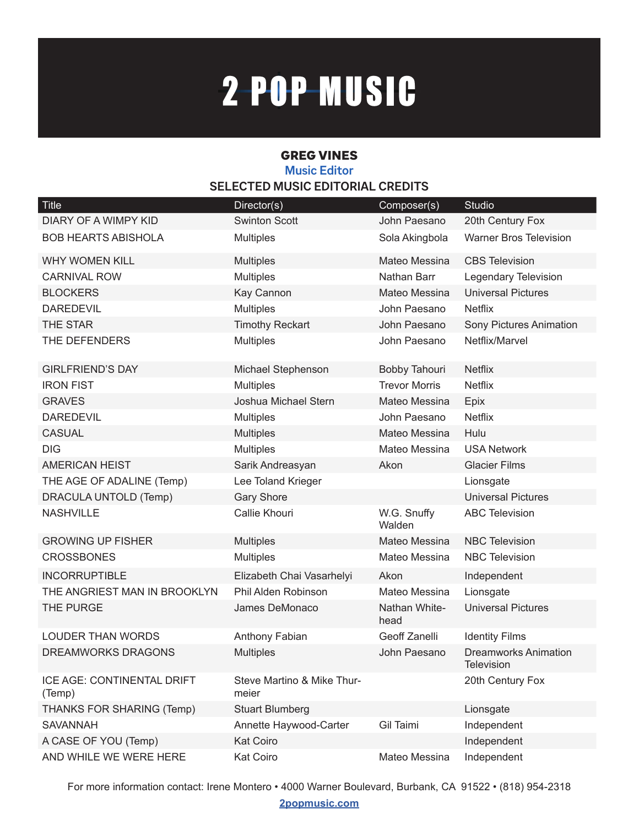## 2-POP-MUSIC

## GREG VINES **Music Editor SELECTED MUSIC EDITORIAL CREDITS**

| Title                                | Director(s)                         | Composer(s)           | <b>Studio</b>                             |
|--------------------------------------|-------------------------------------|-----------------------|-------------------------------------------|
| DIARY OF A WIMPY KID                 | <b>Swinton Scott</b>                | John Paesano          | 20th Century Fox                          |
| <b>BOB HEARTS ABISHOLA</b>           | <b>Multiples</b>                    | Sola Akingbola        | <b>Warner Bros Television</b>             |
| <b>WHY WOMEN KILL</b>                | <b>Multiples</b>                    | Mateo Messina         | <b>CBS Television</b>                     |
| <b>CARNIVAL ROW</b>                  | <b>Multiples</b>                    | Nathan Barr           | Legendary Television                      |
| <b>BLOCKERS</b>                      | Kay Cannon                          | Mateo Messina         | <b>Universal Pictures</b>                 |
| <b>DAREDEVIL</b>                     | <b>Multiples</b>                    | John Paesano          | <b>Netflix</b>                            |
| <b>THE STAR</b>                      | <b>Timothy Reckart</b>              | John Paesano          | Sony Pictures Animation                   |
| THE DEFENDERS                        | <b>Multiples</b>                    | John Paesano          | Netflix/Marvel                            |
| <b>GIRLFRIEND'S DAY</b>              | Michael Stephenson                  | Bobby Tahouri         | <b>Netflix</b>                            |
| <b>IRON FIST</b>                     | <b>Multiples</b>                    | <b>Trevor Morris</b>  | <b>Netflix</b>                            |
| <b>GRAVES</b>                        | Joshua Michael Stern                | Mateo Messina         | Epix                                      |
| <b>DAREDEVIL</b>                     | <b>Multiples</b>                    | John Paesano          | <b>Netflix</b>                            |
| <b>CASUAL</b>                        | <b>Multiples</b>                    | Mateo Messina         | Hulu                                      |
| <b>DIG</b>                           | <b>Multiples</b>                    | Mateo Messina         | <b>USA Network</b>                        |
| <b>AMERICAN HEIST</b>                | Sarik Andreasyan                    | Akon                  | <b>Glacier Films</b>                      |
| THE AGE OF ADALINE (Temp)            | Lee Toland Krieger                  |                       | Lionsgate                                 |
| DRACULA UNTOLD (Temp)                | <b>Gary Shore</b>                   |                       | <b>Universal Pictures</b>                 |
| <b>NASHVILLE</b>                     | Callie Khouri                       | W.G. Snuffy<br>Walden | <b>ABC Television</b>                     |
| <b>GROWING UP FISHER</b>             | <b>Multiples</b>                    | Mateo Messina         | <b>NBC Television</b>                     |
| <b>CROSSBONES</b>                    | <b>Multiples</b>                    | Mateo Messina         | <b>NBC Television</b>                     |
| <b>INCORRUPTIBLE</b>                 | Elizabeth Chai Vasarhelyi           | Akon                  | Independent                               |
| THE ANGRIEST MAN IN BROOKLYN         | Phil Alden Robinson                 | Mateo Messina         | Lionsgate                                 |
| THE PURGE                            | James DeMonaco                      | Nathan White-<br>head | <b>Universal Pictures</b>                 |
| <b>LOUDER THAN WORDS</b>             | Anthony Fabian                      | Geoff Zanelli         | <b>Identity Films</b>                     |
| <b>DREAMWORKS DRAGONS</b>            | <b>Multiples</b>                    | John Paesano          | <b>Dreamworks Animation</b><br>Television |
| ICE AGE: CONTINENTAL DRIFT<br>(Temp) | Steve Martino & Mike Thur-<br>meier |                       | 20th Century Fox                          |
| THANKS FOR SHARING (Temp)            | <b>Stuart Blumberg</b>              |                       | Lionsgate                                 |
| <b>SAVANNAH</b>                      | Annette Haywood-Carter              | Gil Taimi             | Independent                               |
| A CASE OF YOU (Temp)                 | <b>Kat Coiro</b>                    |                       | Independent                               |
| AND WHILE WE WERE HERE               | Kat Coiro                           | Mateo Messina         | Independent                               |

For more information contact: Irene Montero • 4000 Warner Boulevard, Burbank, CA 91522 • (818) 954-2318

**2popmusic.com**